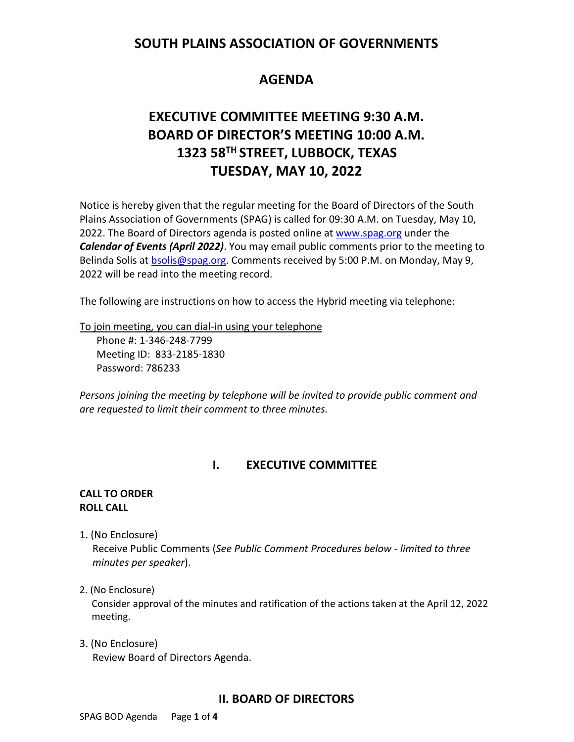# **SOUTH PLAINS ASSOCIATION OF GOVERNMENTS**

# **AGENDA**

# **EXECUTIVE COMMITTEE MEETING 9:30 A.M. BOARD OF DIRECTOR'S MEETING 10:00 A.M. 1323 58TH STREET, LUBBOCK, TEXAS TUESDAY, MAY 10, 2022**

Notice is hereby given that the regular meeting for the Board of Directors of the South Plains Association of Governments (SPAG) is called for 09:30 A.M. on Tuesday, May 10, 2022. The Board of Directors agenda is posted online at [www.spag.org](http://www.spag.org/) under the *Calendar of Events (April 2022)*. You may email public comments prior to the meeting to Belinda Solis at **bsolis@spag.org.** Comments received by 5:00 P.M. on Monday, May 9, 2022 will be read into the meeting record.

The following are instructions on how to access the Hybrid meeting via telephone:

To join meeting, you can dial-in using your telephone

Phone #: 1-346-248-7799 Meeting ID: 833-2185-1830 Password: 786233

*Persons joining the meeting by telephone will be invited to provide public comment and are requested to limit their comment to three minutes.*

# **I. EXECUTIVE COMMITTEE**

#### **CALL TO ORDER ROLL CALL**

1. (No Enclosure)

 Receive Public Comments (*See Public Comment Procedures below - limited to three minutes per speaker*).

#### 2. (No Enclosure)

Consider approval of the minutes and ratification of the actions taken at the April 12, 2022 meeting.

3. (No Enclosure) Review Board of Directors Agenda.

# **II. BOARD OF DIRECTORS**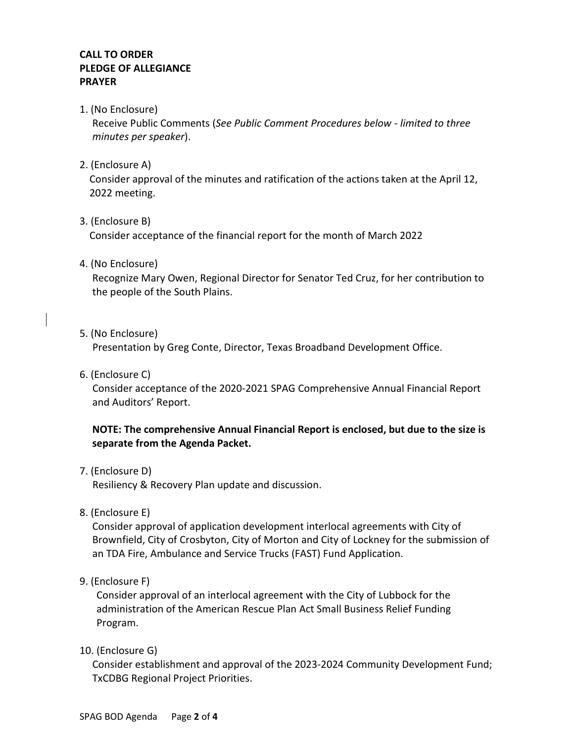# **CALL TO ORDER PLEDGE OF ALLEGIANCE PRAYER**

1. (No Enclosure)

Receive Public Comments (*See Public Comment Procedures below - limited to three minutes per speaker*).

2. (Enclosure A)

Consider approval of the minutes and ratification of the actions taken at the April 12, 2022 meeting.

3. (Enclosure B)

Consider acceptance of the financial report for the month of March 2022

4. (No Enclosure)

Recognize Mary Owen, Regional Director for Senator Ted Cruz, for her contribution to the people of the South Plains.

5. (No Enclosure)

Presentation by Greg Conte, Director, Texas Broadband Development Office.

6. (Enclosure C)

 Consider acceptance of the 2020-2021 SPAG Comprehensive Annual Financial Report and Auditors' Report.

## **NOTE: The comprehensive Annual Financial Report is enclosed, but due to the size is separate from the Agenda Packet.**

7. (Enclosure D)

Resiliency & Recovery Plan update and discussion.

8. (Enclosure E)

Consider approval of application development interlocal agreements with City of Brownfield, City of Crosbyton, City of Morton and City of Lockney for the submission of an TDA Fire, Ambulance and Service Trucks (FAST) Fund Application.

9. (Enclosure F)

Consider approval of an interlocal agreement with the City of Lubbock for the administration of the American Rescue Plan Act Small Business Relief Funding Program.

10. (Enclosure G)

Consider establishment and approval of the 2023-2024 Community Development Fund; TxCDBG Regional Project Priorities.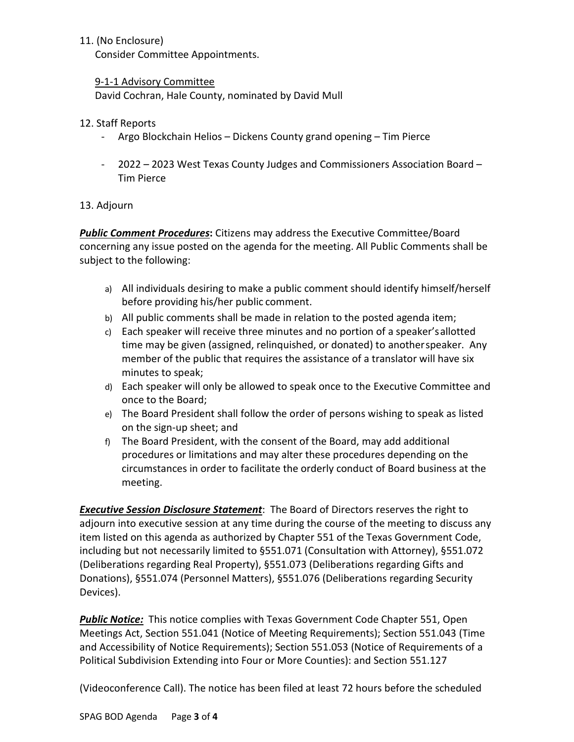## 11. (No Enclosure)

Consider Committee Appointments.

### 9-1-1 Advisory Committee

David Cochran, Hale County, nominated by David Mull

### 12. Staff Reports

- Argo Blockchain Helios Dickens County grand opening Tim Pierce
- 2022 2023 West Texas County Judges and Commissioners Association Board Tim Pierce

# 13. Adjourn

*Public Comment Procedures***:** Citizens may address the Executive Committee/Board concerning any issue posted on the agenda for the meeting. All Public Comments shall be subject to the following:

- a) All individuals desiring to make a public comment should identify himself/herself before providing his/her public comment.
- b) All public comments shall be made in relation to the posted agenda item;
- c) Each speaker will receive three minutes and no portion of a speaker'sallotted time may be given (assigned, relinquished, or donated) to anotherspeaker. Any member of the public that requires the assistance of a translator will have six minutes to speak;
- d) Each speaker will only be allowed to speak once to the Executive Committee and once to the Board;
- e) The Board President shall follow the order of persons wishing to speak as listed on the sign-up sheet; and
- f) The Board President, with the consent of the Board, may add additional procedures or limitations and may alter these procedures depending on the circumstances in order to facilitate the orderly conduct of Board business at the meeting.

*Executive Session Disclosure Statement*: The Board of Directors reserves the right to adjourn into executive session at any time during the course of the meeting to discuss any item listed on this agenda as authorized by Chapter 551 of the Texas Government Code, including but not necessarily limited to §551.071 (Consultation with Attorney), §551.072 (Deliberations regarding Real Property), §551.073 (Deliberations regarding Gifts and Donations), §551.074 (Personnel Matters), §551.076 (Deliberations regarding Security Devices).

*Public Notice:* This notice complies with Texas Government Code Chapter 551, Open Meetings Act, Section 551.041 (Notice of Meeting Requirements); Section 551.043 (Time and Accessibility of Notice Requirements); Section 551.053 (Notice of Requirements of a Political Subdivision Extending into Four or More Counties): and Section 551.127

(Videoconference Call). The notice has been filed at least 72 hours before the scheduled